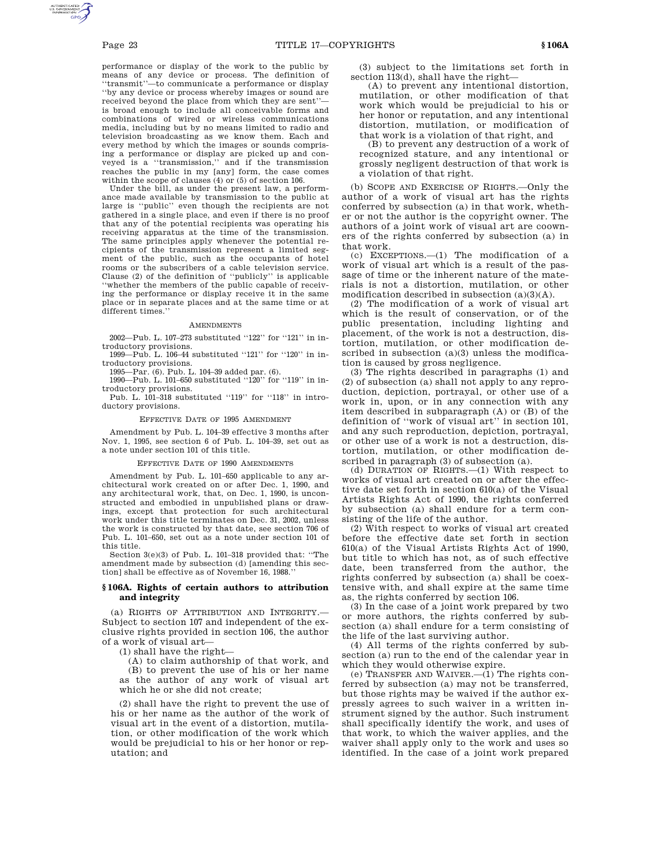performance or display of the work to the public by means of any device or process. The definition of ''transmit''—to communicate a performance or display ''by any device or process whereby images or sound are received beyond the place from which they are sent'' is broad enough to include all conceivable forms and combinations of wired or wireless communications media, including but by no means limited to radio and television broadcasting as we know them. Each and every method by which the images or sounds comprising a performance or display are picked up and conveyed is a ''transmission,'' and if the transmission reaches the public in my [any] form, the case comes within the scope of clauses (4) or (5) of section 106.

Under the bill, as under the present law, a performance made available by transmission to the public at large is ''public'' even though the recipients are not gathered in a single place, and even if there is no proof that any of the potential recipients was operating his receiving apparatus at the time of the transmission. The same principles apply whenever the potential recipients of the transmission represent a limited segment of the public, such as the occupants of hotel rooms or the subscribers of a cable television service. Clause (2) of the definition of ''publicly'' is applicable ''whether the members of the public capable of receiving the performance or display receive it in the same place or in separate places and at the same time or at different times.''

#### AMENDMENTS

2002—Pub. L. 107–273 substituted ''122'' for ''121'' in introductory provisions.

1999—Pub. L. 106–44 substituted ''121'' for ''120'' in introductory provisions.

1995—Par. (6). Pub. L. 104–39 added par. (6).

1990—Pub. L. 101–650 substituted ''120'' for ''119'' in introductory provisions.

Pub. L. 101-318 substituted "119" for "118" in introductory provisions.

#### EFFECTIVE DATE OF 1995 AMENDMENT

Amendment by Pub. L. 104–39 effective 3 months after Nov. 1, 1995, see section 6 of Pub. L. 104–39, set out as a note under section 101 of this title.

### EFFECTIVE DATE OF 1990 AMENDMENTS

Amendment by Pub. L. 101–650 applicable to any architectural work created on or after Dec. 1, 1990, and any architectural work, that, on Dec. 1, 1990, is unconstructed and embodied in unpublished plans or drawings, except that protection for such architectural work under this title terminates on Dec. 31, 2002, unless the work is constructed by that date, see section 706 of Pub. L. 101–650, set out as a note under section 101 of this title.

Section 3(e)(3) of Pub. L. 101–318 provided that: ''The amendment made by subsection (d) [amending this section] shall be effective as of November 16, 1988.

## **§ 106A. Rights of certain authors to attribution and integrity**

(a) RIGHTS OF ATTRIBUTION AND INTEGRITY.— Subject to section 107 and independent of the exclusive rights provided in section 106, the author of a work of visual art—

(1) shall have the right—

(A) to claim authorship of that work, and (B) to prevent the use of his or her name as the author of any work of visual art which he or she did not create;

(2) shall have the right to prevent the use of his or her name as the author of the work of visual art in the event of a distortion, mutilation, or other modification of the work which would be prejudicial to his or her honor or reputation; and

(3) subject to the limitations set forth in section 113(d), shall have the right—

(A) to prevent any intentional distortion, mutilation, or other modification of that work which would be prejudicial to his or her honor or reputation, and any intentional distortion, mutilation, or modification of that work is a violation of that right, and

(B) to prevent any destruction of a work of recognized stature, and any intentional or grossly negligent destruction of that work is a violation of that right.

(b) SCOPE AND EXERCISE OF RIGHTS.—Only the author of a work of visual art has the rights conferred by subsection (a) in that work, whether or not the author is the copyright owner. The authors of a joint work of visual art are coowners of the rights conferred by subsection (a) in that work.

(c) EXCEPTIONS.—(1) The modification of a work of visual art which is a result of the passage of time or the inherent nature of the materials is not a distortion, mutilation, or other modification described in subsection  $(a)(3)(A)$ .

(2) The modification of a work of visual art which is the result of conservation, or of the public presentation, including lighting and placement, of the work is not a destruction, distortion, mutilation, or other modification described in subsection (a)(3) unless the modification is caused by gross negligence.

(3) The rights described in paragraphs (1) and (2) of subsection (a) shall not apply to any reproduction, depiction, portrayal, or other use of a work in, upon, or in any connection with any item described in subparagraph (A) or (B) of the definition of ''work of visual art'' in section 101, and any such reproduction, depiction, portrayal, or other use of a work is not a destruction, distortion, mutilation, or other modification described in paragraph (3) of subsection (a).

(d) DURATION OF RIGHTS.—(1) With respect to works of visual art created on or after the effective date set forth in section 610(a) of the Visual Artists Rights Act of 1990, the rights conferred by subsection (a) shall endure for a term consisting of the life of the author.

(2) With respect to works of visual art created before the effective date set forth in section 610(a) of the Visual Artists Rights Act of 1990, but title to which has not, as of such effective date, been transferred from the author, the rights conferred by subsection (a) shall be coextensive with, and shall expire at the same time as, the rights conferred by section 106.

(3) In the case of a joint work prepared by two or more authors, the rights conferred by subsection (a) shall endure for a term consisting of the life of the last surviving author.

(4) All terms of the rights conferred by subsection (a) run to the end of the calendar year in which they would otherwise expire.

(e) TRANSFER AND WAIVER.— $(1)$  The rights conferred by subsection (a) may not be transferred, but those rights may be waived if the author expressly agrees to such waiver in a written instrument signed by the author. Such instrument shall specifically identify the work, and uses of that work, to which the waiver applies, and the waiver shall apply only to the work and uses so identified. In the case of a joint work prepared